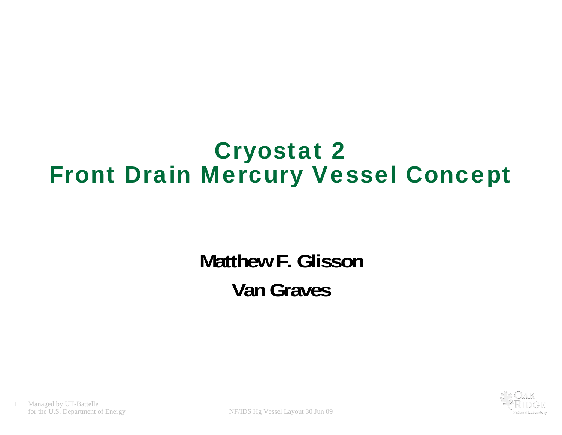#### Cryostat 2 Front Drain Mercury Vessel Concept

### **Matthew F. GlissonVan Graves**



Managed by UT-Battelle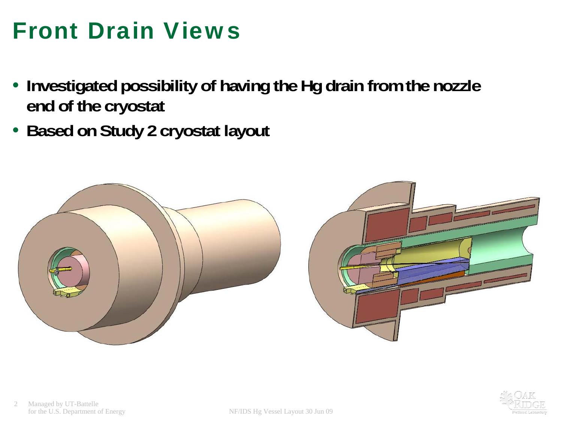## Front Drain Views

- **Investigated possibility of having the Hg drain from the nozzle end of the cryostat**
- **Based on Study 2 cryostat layout**



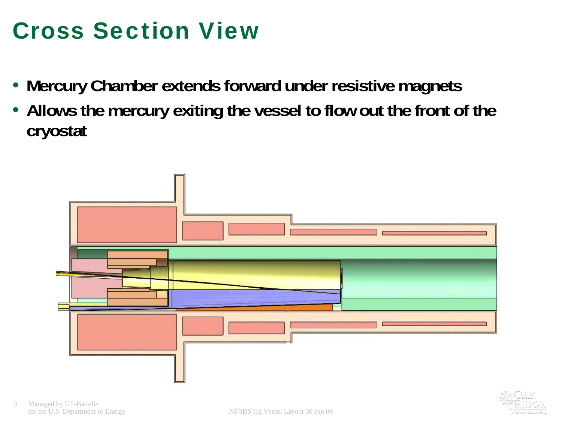## Cross Section View

- **Mercury Chamber extends forward under resistive magnets**
- **Allows the mercury exiting the vessel to flow out the front of the cryostat**

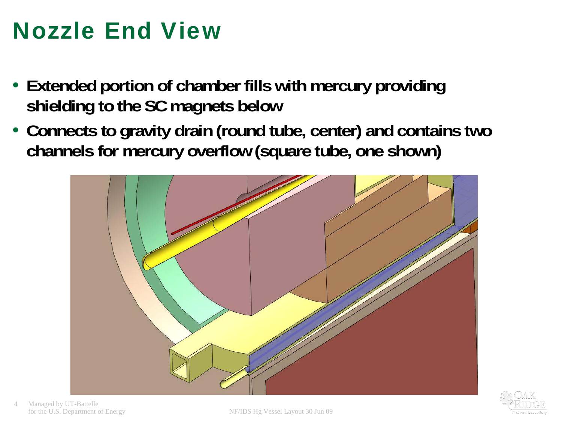## Nozzle End View

- **Extended portion of chamber fills with mercury providing shielding to the SC magnets below**
- **Connects to gravity drain (round tube, center) and contains two channels for mercury overflow (square tube, one shown)**



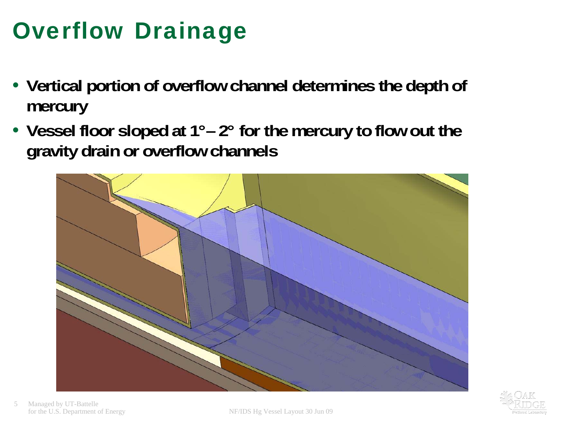## Overflow Drainage

- **Vertical portion of overflow channel determines the depth of mercury**
- **Vessel floor sloped at 1°– 2° for the mercury to flow out the gravity drain or overflow channels**



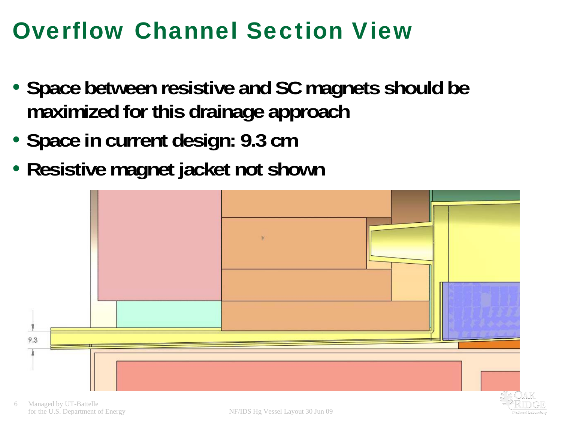### Overflow Channel Section View

- **Space between resistive and SC magnets should be maximized for this drainage approach**
- **Space in current design: 9.3 cm**
- **Resistive magnet jacket not shown**

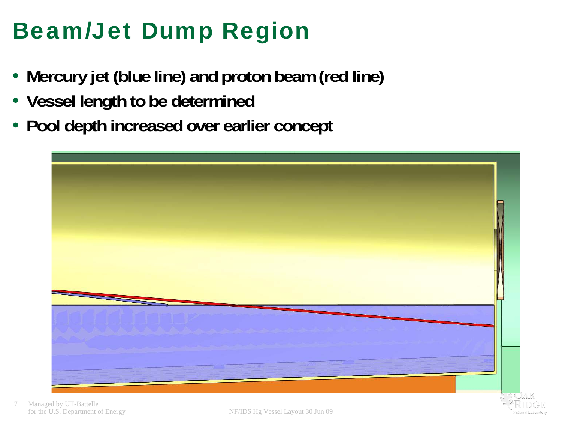# Beam/Jet Dump Region

- **Mercury jet (blue line) and proton beam (red line)**
- **Vessel length to be determined**
- **Pool depth increased over earlier concept**

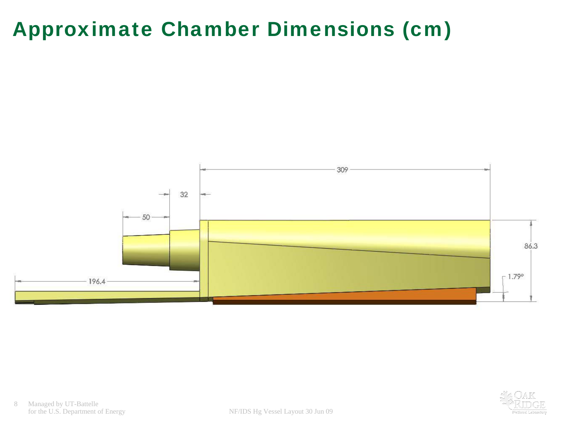#### Approximate Chamber Dimensions (cm)



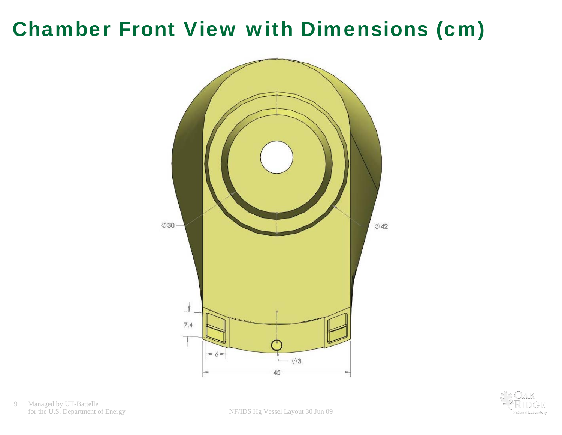#### Chamber Front View with Dimensions (cm)



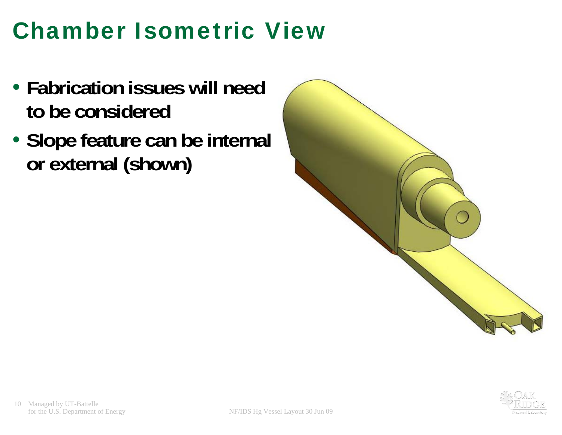## Chamber Isometric View

- **Fabrication issues will need to be considered**
- **Slope feature can be internal or external (shown)**